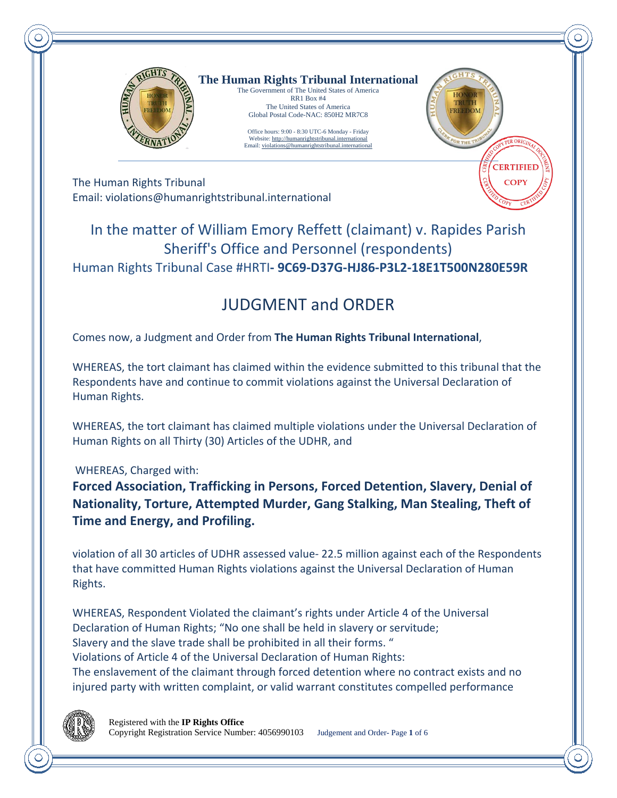

**The Human Rights Tribunal International** The Government of The United States of America

RR1 Box #4 The United States of America Global Postal Code-NAC: 850H2 MR7C8

Office hours: 9:00 - 8:30 UTC-6 Monday - Friday Website[: http://humanrightstribunal.international](http://humanrightstribunal.international/) Email[: violations@humanrightstribunal.international](mailto:violations@humanrightstribunal.international).international.international.international.international.international.international.international.international.international.international.international.international.in



The Human Rights Tribunal Email: violations@humanrightstribunal.international

## In the matter of William Emory Reffett (claimant) v. Rapides Parish Sheriff's Office and Personnel (respondents) Human Rights Tribunal Case #HRTI**- 9C69-D37G-HJ86-P3L2-18E1T500N280E59R**

# JUDGMENT and ORDER

Comes now, a Judgment and Order from **The Human Rights Tribunal International**,

WHEREAS, the tort claimant has claimed within the evidence submitted to this tribunal that the Respondents have and continue to commit violations against the Universal Declaration of Human Rights.

WHEREAS, the tort claimant has claimed multiple violations under the Universal Declaration of Human Rights on all Thirty (30) Articles of the UDHR, and

WHEREAS, Charged with:

**Forced Association, Trafficking in Persons, Forced Detention, Slavery, Denial of Nationality, Torture, Attempted Murder, Gang Stalking, Man Stealing, Theft of Time and Energy, and Profiling.**

violation of all 30 articles of UDHR assessed value- 22.5 million against each of the Respondents that have committed Human Rights violations against the Universal Declaration of Human Rights.

WHEREAS, Respondent Violated the claimant's rights under Article 4 of the Universal Declaration of Human Rights; "No one shall be held in slavery or servitude; Slavery and the slave trade shall be prohibited in all their forms. " Violations of Article 4 of the Universal Declaration of Human Rights: The enslavement of the claimant through forced detention where no contract exists and no injured party with written complaint, or valid warrant constitutes compelled performance

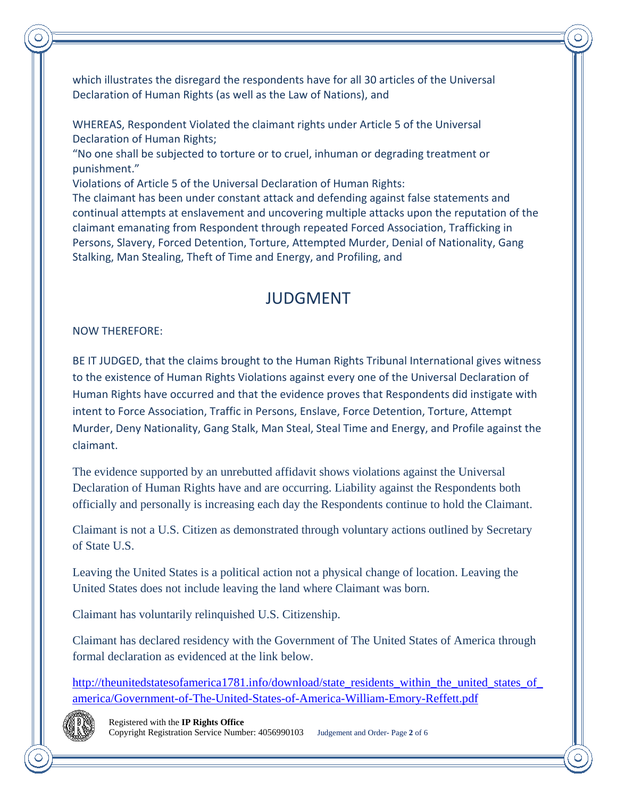which illustrates the disregard the respondents have for all 30 articles of the Universal Declaration of Human Rights (as well as the Law of Nations), and

WHEREAS, Respondent Violated the claimant rights under Article 5 of the Universal Declaration of Human Rights;

"No one shall be subjected to torture or to cruel, inhuman or degrading treatment or punishment."

Violations of Article 5 of the Universal Declaration of Human Rights:

The claimant has been under constant attack and defending against false statements and continual attempts at enslavement and uncovering multiple attacks upon the reputation of the claimant emanating from Respondent through repeated Forced Association, Trafficking in Persons, Slavery, Forced Detention, Torture, Attempted Murder, Denial of Nationality, Gang Stalking, Man Stealing, Theft of Time and Energy, and Profiling, and

# JUDGMENT

#### NOW THEREFORE:

BE IT JUDGED, that the claims brought to the Human Rights Tribunal International gives witness to the existence of Human Rights Violations against every one of the Universal Declaration of Human Rights have occurred and that the evidence proves that Respondents did instigate with intent to Force Association, Traffic in Persons, Enslave, Force Detention, Torture, Attempt Murder, Deny Nationality, Gang Stalk, Man Steal, Steal Time and Energy, and Profile against the claimant.

The evidence supported by an unrebutted affidavit shows violations against the Universal Declaration of Human Rights have and are occurring. Liability against the Respondents both officially and personally is increasing each day the Respondents continue to hold the Claimant.

Claimant is not a U.S. Citizen as demonstrated through voluntary actions outlined by Secretary of State U.S.

Leaving the United States is a political action not a physical change of location. Leaving the United States does not include leaving the land where Claimant was born.

Claimant has voluntarily relinquished U.S. Citizenship.

Claimant has declared residency with the Government of The United States of America through formal declaration as evidenced at the link below.

http://theunitedstatesofamerica1781.info/download/state\_residents\_within\_the\_united\_states\_of [america/Government-of-The-United-States-of-America-William-Emory-Reffett.pdf](http://theunitedstatesofamerica1781.info/download/state_residents_within_the_united_states_of_america/Government-of-The-United-States-of-America-William-Emory-Reffett.pdf)

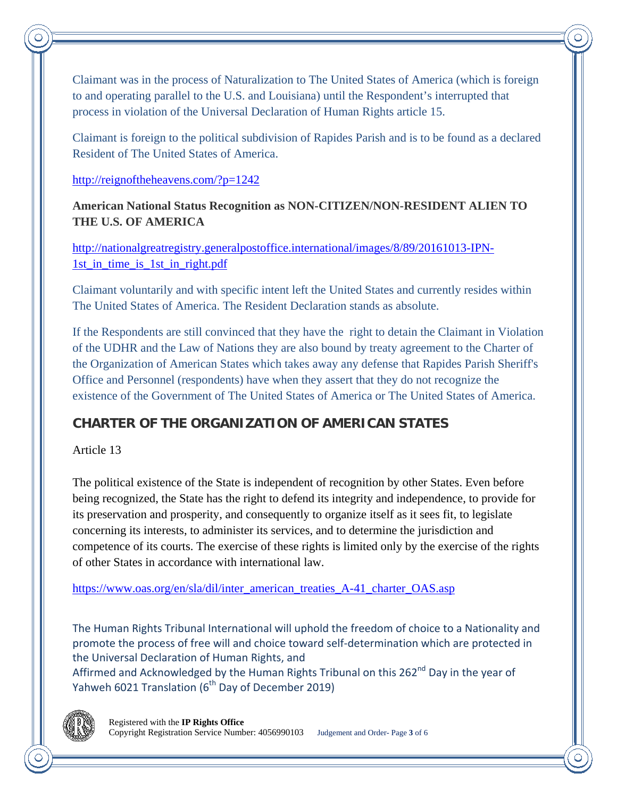Claimant was in the process of Naturalization to The United States of America (which is foreign to and operating parallel to the U.S. and Louisiana) until the Respondent's interrupted that process in violation of the Universal Declaration of Human Rights article 15.

Claimant is foreign to the political subdivision of Rapides Parish and is to be found as a declared Resident of The United States of America.

#### <http://reignoftheheavens.com/?p=1242>

**American National Status Recognition as NON-CITIZEN/NON-RESIDENT ALIEN TO THE U.S. OF AMERICA**

[http://nationalgreatregistry.generalpostoffice.international/images/8/89/20161013-IPN-](http://nationalgreatregistry.generalpostoffice.international/images/8/89/20161013-IPN-1st_in_time_is_1st_in_right.pdf)[1st\\_in\\_time\\_is\\_1st\\_in\\_right.pdf](http://nationalgreatregistry.generalpostoffice.international/images/8/89/20161013-IPN-1st_in_time_is_1st_in_right.pdf)

Claimant voluntarily and with specific intent left the United States and currently resides within The United States of America. The Resident Declaration stands as absolute.

If the Respondents are still convinced that they have the right to detain the Claimant in Violation of the UDHR and the Law of Nations they are also bound by treaty agreement to the Charter of the Organization of American States which takes away any defense that Rapides Parish Sheriff's Office and Personnel (respondents) have when they assert that they do not recognize the existence of the Government of The United States of America or The United States of America.

### **CHARTER OF THE ORGANIZATION OF AMERICAN STATES**

Article 13

The political existence of the State is independent of recognition by other States. Even before being recognized, the State has the right to defend its integrity and independence, to provide for its preservation and prosperity, and consequently to organize itself as it sees fit, to legislate concerning its interests, to administer its services, and to determine the jurisdiction and competence of its courts. The exercise of these rights is limited only by the exercise of the rights of other States in accordance with international law.

[https://www.oas.org/en/sla/dil/inter\\_american\\_treaties\\_A-41\\_charter\\_OAS.asp](https://www.oas.org/en/sla/dil/inter_american_treaties_A-41_charter_OAS.asp)

The Human Rights Tribunal International will uphold the freedom of choice to a Nationality and promote the process of free will and choice toward self-determination which are protected in the Universal Declaration of Human Rights, and

Affirmed and Acknowledged by the Human Rights Tribunal on this 262<sup>nd</sup> Day in the year of Yahweh 6021 Translation (6<sup>th</sup> Day of December 2019)

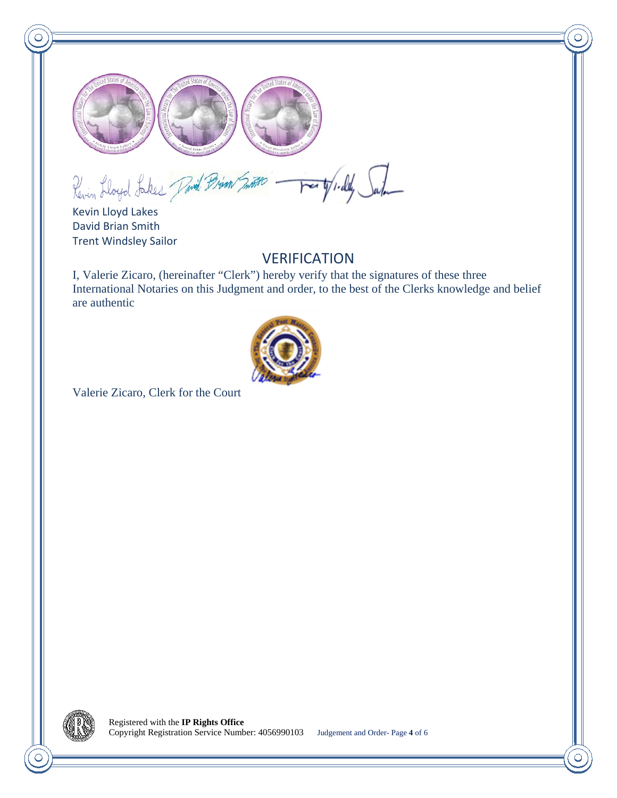

Revin Lloyd Lakes David Brian Smoon -Wirdly Salo  $\overline{r}$ 

Kevin Lloyd Lakes David Brian Smith Trent Windsley Sailor

### **VERIFICATION**

I, Valerie Zicaro, (hereinafter "Clerk") hereby verify that the signatures of these three International Notaries on this Judgment and order, to the best of the Clerks knowledge and belief are authentic



Valerie Zicaro, Clerk for the Court

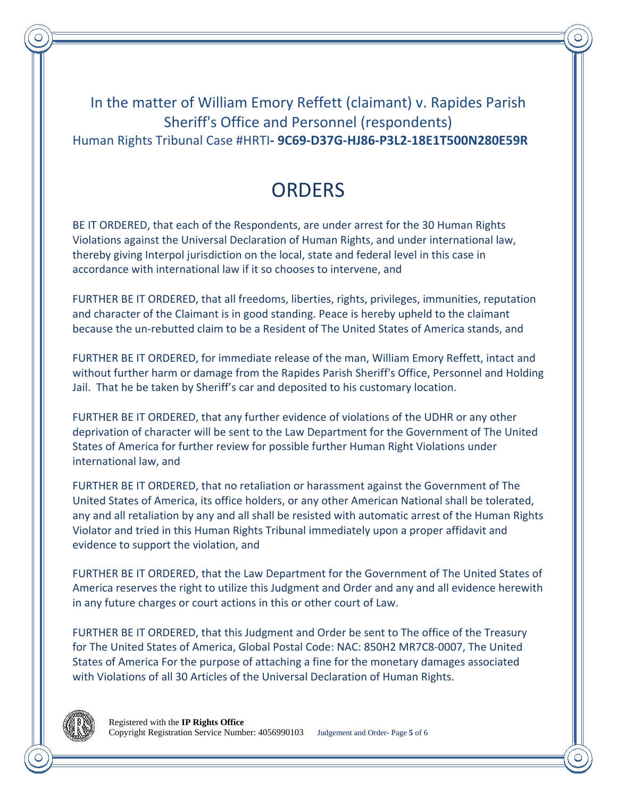In the matter of William Emory Reffett (claimant) v. Rapides Parish Sheriff's Office and Personnel (respondents) Human Rights Tribunal Case #HRTI**- 9C69-D37G-HJ86-P3L2-18E1T500N280E59R**

# **ORDERS**

BE IT ORDERED, that each of the Respondents, are under arrest for the 30 Human Rights Violations against the Universal Declaration of Human Rights, and under international law, thereby giving Interpol jurisdiction on the local, state and federal level in this case in accordance with international law if it so chooses to intervene, and

FURTHER BE IT ORDERED, that all freedoms, liberties, rights, privileges, immunities, reputation and character of the Claimant is in good standing. Peace is hereby upheld to the claimant because the un-rebutted claim to be a Resident of The United States of America stands, and

FURTHER BE IT ORDERED, for immediate release of the man, William Emory Reffett, intact and without further harm or damage from the Rapides Parish Sheriff's Office, Personnel and Holding Jail. That he be taken by Sheriff's car and deposited to his customary location.

FURTHER BE IT ORDERED, that any further evidence of violations of the UDHR or any other deprivation of character will be sent to the Law Department for the Government of The United States of America for further review for possible further Human Right Violations under international law, and

FURTHER BE IT ORDERED, that no retaliation or harassment against the Government of The United States of America, its office holders, or any other American National shall be tolerated, any and all retaliation by any and all shall be resisted with automatic arrest of the Human Rights Violator and tried in this Human Rights Tribunal immediately upon a proper affidavit and evidence to support the violation, and

FURTHER BE IT ORDERED, that the Law Department for the Government of The United States of America reserves the right to utilize this Judgment and Order and any and all evidence herewith in any future charges or court actions in this or other court of Law.

FURTHER BE IT ORDERED, that this Judgment and Order be sent to The office of the Treasury for The United States of America, Global Postal Code: NAC: 850H2 MR7C8-0007, The United States of America For the purpose of attaching a fine for the monetary damages associated with Violations of all 30 Articles of the Universal Declaration of Human Rights.

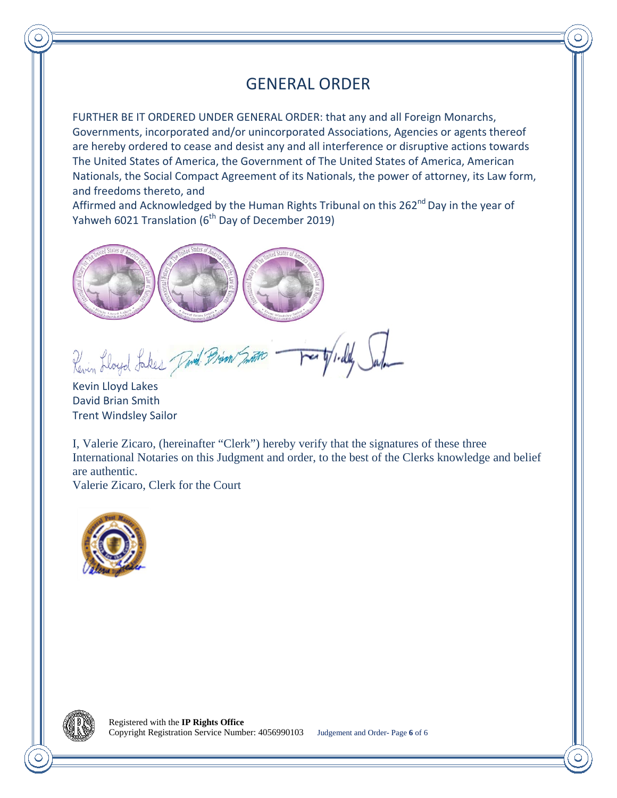## GENERAL ORDER

FURTHER BE IT ORDERED UNDER GENERAL ORDER: that any and all Foreign Monarchs, Governments, incorporated and/or unincorporated Associations, Agencies or agents thereof are hereby ordered to cease and desist any and all interference or disruptive actions towards The United States of America, the Government of The United States of America, American Nationals, the Social Compact Agreement of its Nationals, the power of attorney, its Law form, and freedoms thereto, and

Affirmed and Acknowledged by the Human Rights Tribunal on this 262<sup>nd</sup> Day in the year of Yahweh 6021 Translation (6<sup>th</sup> Day of December 2019)



Revin Lloyd Lakes Pavid Brian Smith

Kevin Lloyd Lakes David Brian Smith Trent Windsley Sailor

I, Valerie Zicaro, (hereinafter "Clerk") hereby verify that the signatures of these three International Notaries on this Judgment and order, to the best of the Clerks knowledge and belief are authentic.

Valerie Zicaro, Clerk for the Court